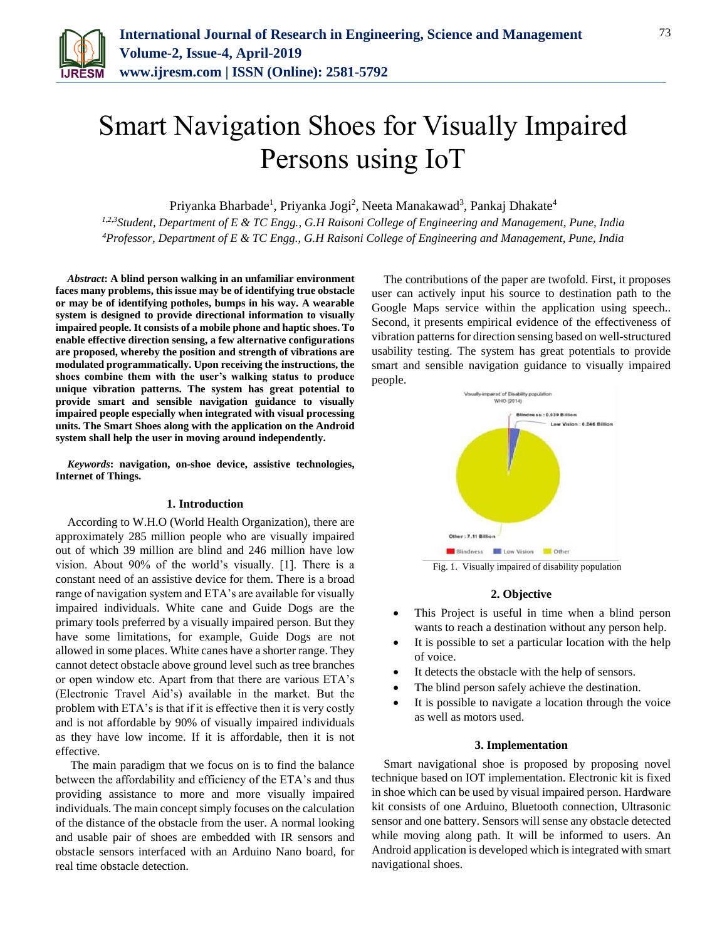

# Smart Navigation Shoes for Visually Impaired Persons using IoT

Priyanka Bharbade<sup>1</sup>, Priyanka Jogi<sup>2</sup>, Neeta Manakawad<sup>3</sup>, Pankaj Dhakate<sup>4</sup>

*1,2,3Student, Department of E & TC Engg., G.H Raisoni College of Engineering and Management, Pune, India 4Professor, Department of E & TC Engg., G.H Raisoni College of Engineering and Management, Pune, India*

*Abstract***: A blind person walking in an unfamiliar environment faces many problems, this issue may be of identifying true obstacle or may be of identifying potholes, bumps in his way. A wearable system is designed to provide directional information to visually impaired people. It consists of a mobile phone and haptic shoes. To enable effective direction sensing, a few alternative configurations are proposed, whereby the position and strength of vibrations are modulated programmatically. Upon receiving the instructions, the shoes combine them with the user's walking status to produce unique vibration patterns. The system has great potential to provide smart and sensible navigation guidance to visually impaired people especially when integrated with visual processing units. The Smart Shoes along with the application on the Android system shall help the user in moving around independently.**

*Keywords***: navigation, on-shoe device, assistive technologies, Internet of Things.**

#### **1. Introduction**

According to W.H.O (World Health Organization), there are approximately 285 million people who are visually impaired out of which 39 million are blind and 246 million have low vision. About 90% of the world's visually. [1]. There is a constant need of an assistive device for them. There is a broad range of navigation system and ETA's are available for visually impaired individuals. White cane and Guide Dogs are the primary tools preferred by a visually impaired person. But they have some limitations, for example, Guide Dogs are not allowed in some places. White canes have a shorter range. They cannot detect obstacle above ground level such as tree branches or open window etc. Apart from that there are various ETA's (Electronic Travel Aid's) available in the market. But the problem with ETA's is that if it is effective then it is very costly and is not affordable by 90% of visually impaired individuals as they have low income. If it is affordable, then it is not effective.

The main paradigm that we focus on is to find the balance between the affordability and efficiency of the ETA's and thus providing assistance to more and more visually impaired individuals. The main concept simply focuses on the calculation of the distance of the obstacle from the user. A normal looking and usable pair of shoes are embedded with IR sensors and obstacle sensors interfaced with an Arduino Nano board, for real time obstacle detection.

The contributions of the paper are twofold. First, it proposes user can actively input his source to destination path to the Google Maps service within the application using speech.. Second, it presents empirical evidence of the effectiveness of vibration patterns for direction sensing based on well-structured usability testing. The system has great potentials to provide smart and sensible navigation guidance to visually impaired people.



Fig. 1. Visually impaired of disability population

#### **2. Objective**

- This Project is useful in time when a blind person wants to reach a destination without any person help.
- It is possible to set a particular location with the help of voice.
- It detects the obstacle with the help of sensors.
- The blind person safely achieve the destination.
- It is possible to navigate a location through the voice as well as motors used.

### **3. Implementation**

Smart navigational shoe is proposed by proposing novel technique based on IOT implementation. Electronic kit is fixed in shoe which can be used by visual impaired person. Hardware kit consists of one Arduino, Bluetooth connection, Ultrasonic sensor and one battery. Sensors will sense any obstacle detected while moving along path. It will be informed to users. An Android application is developed which is integrated with smart navigational shoes.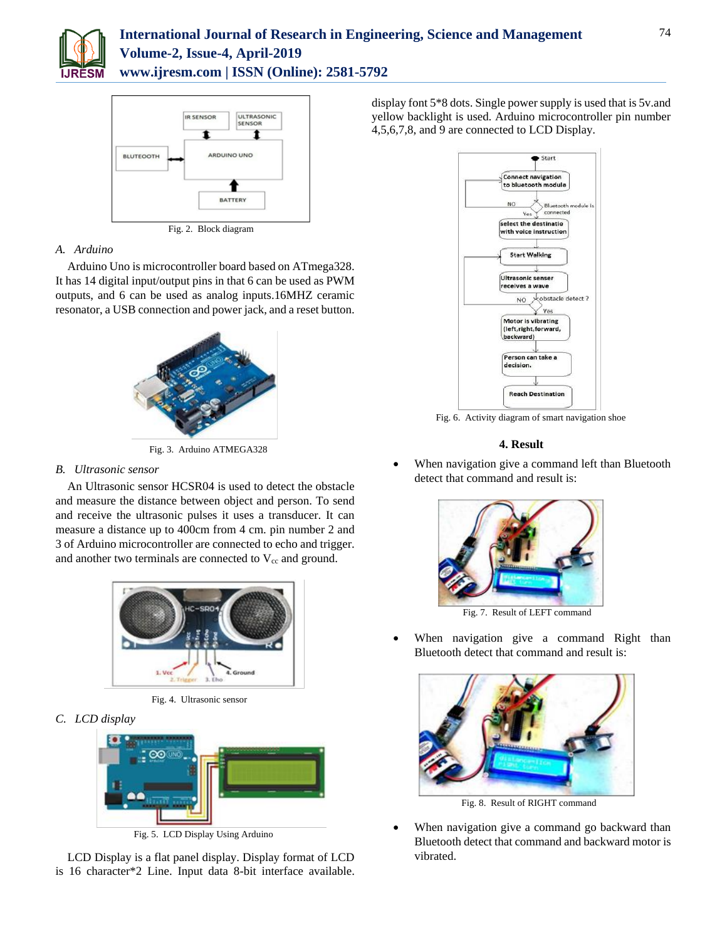



## *A. Arduino*

Arduino Uno is microcontroller board based on ATmega328. It has 14 digital input/output pins in that 6 can be used as PWM outputs, and 6 can be used as analog inputs.16MHZ ceramic resonator, a USB connection and power jack, and a reset button.



Fig. 3. Arduino ATMEGA328

## *B. Ultrasonic sensor*

An Ultrasonic sensor HCSR04 is used to detect the obstacle and measure the distance between object and person. To send and receive the ultrasonic pulses it uses a transducer. It can measure a distance up to 400cm from 4 cm. pin number 2 and 3 of Arduino microcontroller are connected to echo and trigger. and another two terminals are connected to  $V_{cc}$  and ground.



Fig. 4. Ultrasonic sensor

*C. LCD display*



Fig. 5. LCD Display Using Arduino

LCD Display is a flat panel display. Display format of LCD is 16 character\*2 Line. Input data 8-bit interface available. display font 5\*8 dots. Single power supply is used that is 5v.and yellow backlight is used. Arduino microcontroller pin number 4,5,6,7,8, and 9 are connected to LCD Display.



Fig. 6. Activity diagram of smart navigation shoe

## **4. Result**

 When navigation give a command left than Bluetooth detect that command and result is:



Fig. 7. Result of LEFT command

 When navigation give a command Right than Bluetooth detect that command and result is:



Fig. 8. Result of RIGHT command

 When navigation give a command go backward than Bluetooth detect that command and backward motor is vibrated.